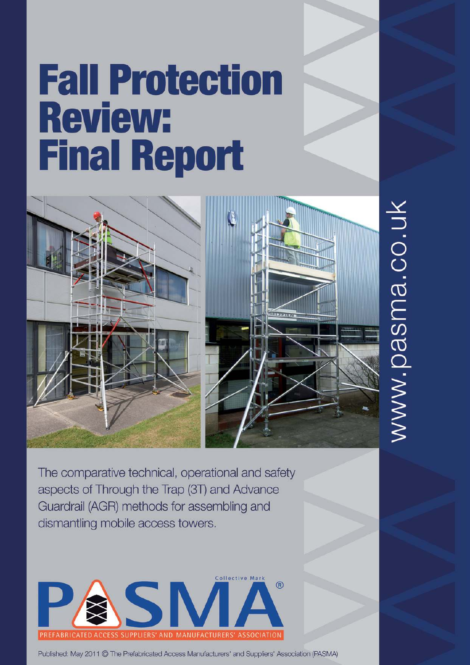# **Fall Protection Review: Final Report**



www.pasma.co.uk

The comparative technical, operational and safety aspects of Through the Trap (3T) and Advance Guardrail (AGR) methods for assembling and dismantling mobile access towers.



Published: May 2011 © The Prefabricated Access Manufacturers' and Suppliers' Association (PASMA)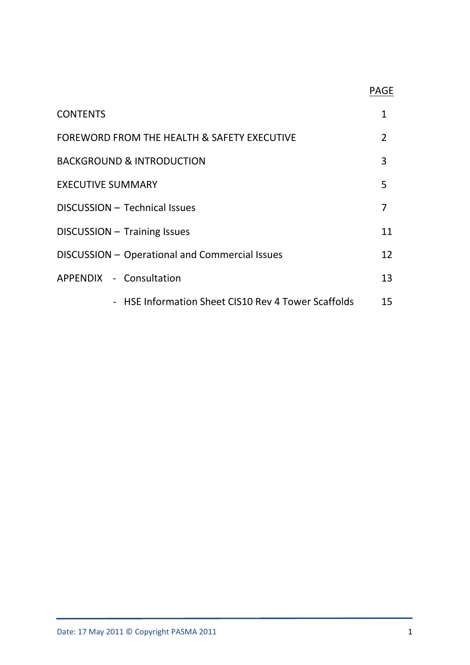# <u>PAGE in the contract of the contract of the contract of the contract of the contract of the contract of the con</u>

| <b>CONTENTS</b>                                     | 1               |
|-----------------------------------------------------|-----------------|
| FOREWORD FROM THE HEALTH & SAFETY EXECUTIVE         | $\overline{2}$  |
| <b>BACKGROUND &amp; INTRODUCTION</b>                | 3               |
| <b>EXECUTIVE SUMMARY</b>                            | 5               |
| DISCUSSION - Technical Issues                       |                 |
| DISCUSSION - Training Issues                        | 11              |
| DISCUSSION - Operational and Commercial Issues      | 12 <sup>°</sup> |
| APPENDIX - Consultation                             | 13              |
| - HSE Information Sheet CIS10 Rev 4 Tower Scaffolds | 15              |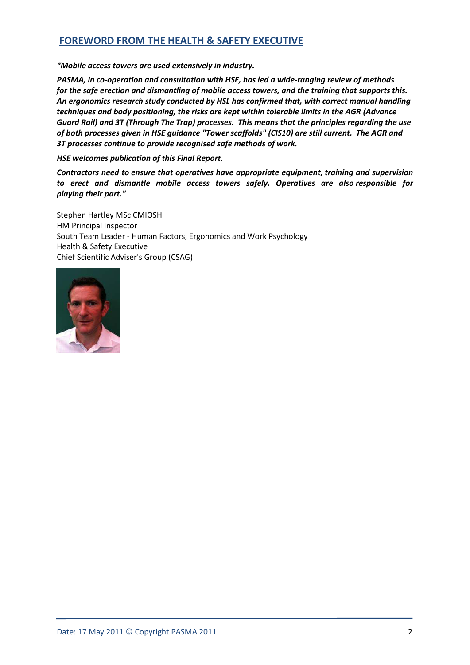# **FOREWORD FROM THE HEALTH & SAFETY EXECUTIVE**

*"Mobile access towers are used extensively in industry.*

*PASMA, in co-operation and consultation with HSE, has led a wide-ranging review of methods for the safe erection and dismantling of mobile access towers, and the training that supports this. An ergonomics research study conducted by HSL has confirmed that, with correct manual handling techniques and body positioning, the risks are kept within tolerable limits in the AGR (Advance Guard Rail) and 3T (Through The Trap) processes. This means that the principles regarding the use of both processes given in HSE guidance "Tower scaffolds" (CIS10) are still current. The AGR and 3T processes continue to provide recognised safe methods of work.* 

*HSE welcomes publication of this Final Report.*

*Contractors need to ensure that operatives have appropriate equipment, training and supervision to erect and dismantle mobile access towers safely. Operatives are also responsible for playing their part."*

Stephen Hartley MSc CMIOSH HM Principal Inspector South Team Leader - Human Factors, Ergonomics and Work Psychology Health & Safety Executive Chief Scientific Adviser's Group (CSAG)

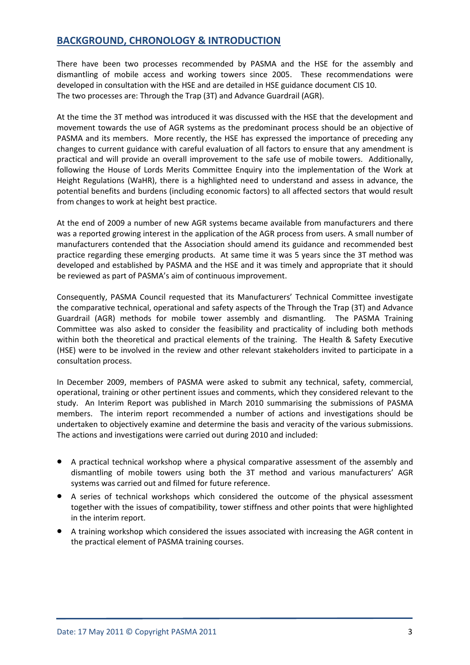# **BACKGROUND, CHRONOLOGY & INTRODUCTION**

There have been two processes recommended by PASMA and the HSE for the assembly and dismantling of mobile access and working towers since 2005. These recommendations were developed in consultation with the HSE and are detailed in HSE guidance document CIS 10. The two processes are: Through the Trap (3T) and Advance Guardrail (AGR).

At the time the 3T method was introduced it was discussed with the HSE that the development and movement towards the use of AGR systems as the predominant process should be an objective of PASMA and its members. More recently, the HSE has expressed the importance of preceding any changes to current guidance with careful evaluation of all factors to ensure that any amendment is practical and will provide an overall improvement to the safe use of mobile towers. Additionally, following the House of Lords Merits Committee Enquiry into the implementation of the Work at Height Regulations (WaHR), there is a highlighted need to understand and assess in advance, the potential benefits and burdens (including economic factors) to all affected sectors that would result from changes to work at height best practice.

At the end of 2009 a number of new AGR systems became available from manufacturers and there was a reported growing interest in the application of the AGR process from users. A small number of manufacturers contended that the Association should amend its guidance and recommended best practice regarding these emerging products. At same time it was 5 years since the 3T method was developed and established by PASMA and the HSE and it was timely and appropriate that it should be reviewed as part of PASMA's aim of continuous improvement.

Consequently, PASMA Council requested that its Manufacturers' Technical Committee investigate the comparative technical, operational and safety aspects of the Through the Trap (3T) and Advance Guardrail (AGR) methods for mobile tower assembly and dismantling. The PASMA Training Committee was also asked to consider the feasibility and practicality of including both methods within both the theoretical and practical elements of the training. The Health & Safety Executive (HSE) were to be involved in the review and other relevant stakeholders invited to participate in a consultation process.

In December 2009, members of PASMA were asked to submit any technical, safety, commercial, operational, training or other pertinent issues and comments, which they considered relevant to the study. An Interim Report was published in March 2010 summarising the submissions of PASMA members. The interim report recommended a number of actions and investigations should be undertaken to objectively examine and determine the basis and veracity of the various submissions. The actions and investigations were carried out during 2010 and included:

- A practical technical workshop where a physical comparative assessment of the assembly and dismantling of mobile towers using both the 3T method and various manufacturers' AGR systems was carried out and filmed for future reference.
- A series of technical workshops which considered the outcome of the physical assessment together with the issues of compatibility, tower stiffness and other points that were highlighted in the interim report.
- A training workshop which considered the issues associated with increasing the AGR content in the practical element of PASMA training courses.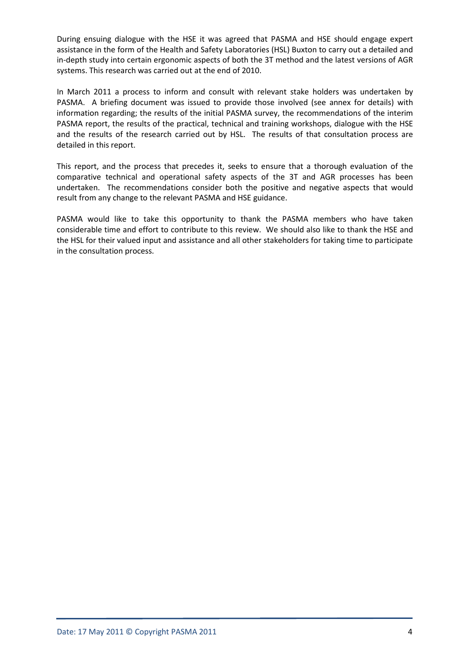During ensuing dialogue with the HSE it was agreed that PASMA and HSE should engage expert assistance in the form of the Health and Safety Laboratories (HSL) Buxton to carry out a detailed and in-depth study into certain ergonomic aspects of both the 3T method and the latest versions of AGR systems. This research was carried out at the end of 2010.

In March 2011 a process to inform and consult with relevant stake holders was undertaken by PASMA. A briefing document was issued to provide those involved (see annex for details) with information regarding; the results of the initial PASMA survey, the recommendations of the interim PASMA report, the results of the practical, technical and training workshops, dialogue with the HSE and the results of the research carried out by HSL. The results of that consultation process are detailed in this report.

This report, and the process that precedes it, seeks to ensure that a thorough evaluation of the comparative technical and operational safety aspects of the 3T and AGR processes has been undertaken. The recommendations consider both the positive and negative aspects that would result from any change to the relevant PASMA and HSE guidance.

PASMA would like to take this opportunity to thank the PASMA members who have taken considerable time and effort to contribute to this review. We should also like to thank the HSE and the HSL for their valued input and assistance and all other stakeholders for taking time to participate in the consultation process.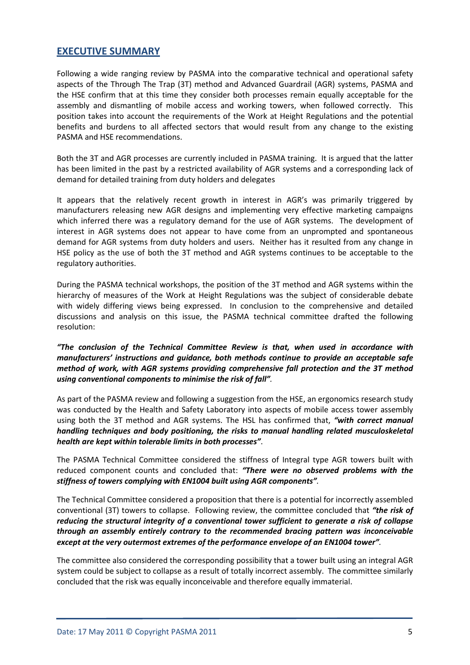# **EXECUTIVE SUMMARY**

Following a wide ranging review by PASMA into the comparative technical and operational safety aspects of the Through The Trap (3T) method and Advanced Guardrail (AGR) systems, PASMA and the HSE confirm that at this time they consider both processes remain equally acceptable for the assembly and dismantling of mobile access and working towers, when followed correctly. This position takes into account the requirements of the Work at Height Regulations and the potential benefits and burdens to all affected sectors that would result from any change to the existing PASMA and HSE recommendations.

Both the 3T and AGR processes are currently included in PASMA training. It is argued that the latter has been limited in the past by a restricted availability of AGR systems and a corresponding lack of demand for detailed training from duty holders and delegates

It appears that the relatively recent growth in interest in AGR's was primarily triggered by manufacturers releasing new AGR designs and implementing very effective marketing campaigns which inferred there was a regulatory demand for the use of AGR systems. The development of interest in AGR systems does not appear to have come from an unprompted and spontaneous demand for AGR systems from duty holders and users. Neither has it resulted from any change in HSE policy as the use of both the 3T method and AGR systems continues to be acceptable to the regulatory authorities.

During the PASMA technical workshops, the position of the 3T method and AGR systems within the hierarchy of measures of the Work at Height Regulations was the subject of considerable debate with widely differing views being expressed. In conclusion to the comprehensive and detailed discussions and analysis on this issue, the PASMA technical committee drafted the following resolution:

*"The conclusion of the Technical Committee Review is that, when used in accordance with manufacturers' instructions and guidance, both methods continue to provide an acceptable safe method of work, with AGR systems providing comprehensive fall protection and the 3T method using conventional components to minimise the risk of fall".* 

As part of the PASMA review and following a suggestion from the HSE, an ergonomics research study was conducted by the Health and Safety Laboratory into aspects of mobile access tower assembly using both the 3T method and AGR systems. The HSL has confirmed that, *"with correct manual handling techniques and body positioning, the risks to manual handling related musculoskeletal health are kept within tolerable limits in both processes"*.

The PASMA Technical Committee considered the stiffness of Integral type AGR towers built with reduced component counts and concluded that: *"There were no observed problems with the stiffness of towers complying with EN1004 built using AGR components".*

The Technical Committee considered a proposition that there is a potential for incorrectly assembled conventional (3T) towers to collapse. Following review, the committee concluded that *"the risk of reducing the structural integrity of a conventional tower sufficient to generate a risk of collapse through an assembly entirely contrary to the recommended bracing pattern was inconceivable except at the very outermost extremes of the performance envelope of an EN1004 tower".*

The committee also considered the corresponding possibility that a tower built using an integral AGR system could be subject to collapse as a result of totally incorrect assembly. The committee similarly concluded that the risk was equally inconceivable and therefore equally immaterial.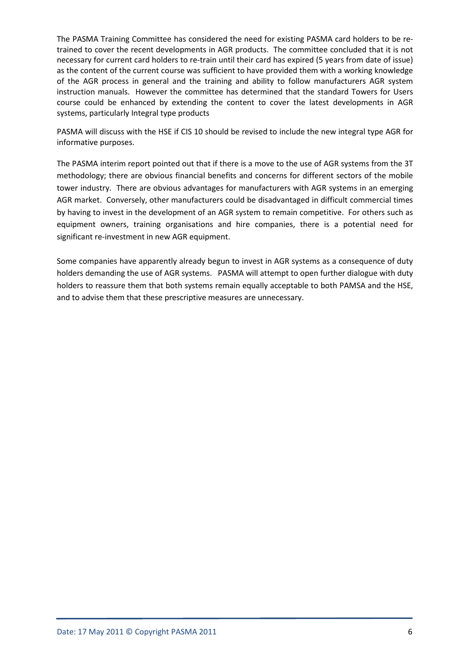The PASMA Training Committee has considered the need for existing PASMA card holders to be retrained to cover the recent developments in AGR products. The committee concluded that it is not necessary for current card holders to re-train until their card has expired (5 years from date of issue) as the content of the current course was sufficient to have provided them with a working knowledge of the AGR process in general and the training and ability to follow manufacturers AGR system instruction manuals. However the committee has determined that the standard Towers for Users course could be enhanced by extending the content to cover the latest developments in AGR systems, particularly Integral type products

PASMA will discuss with the HSE if CIS 10 should be revised to include the new integral type AGR for informative purposes.

The PASMA interim report pointed out that if there is a move to the use of AGR systems from the 3T methodology; there are obvious financial benefits and concerns for different sectors of the mobile tower industry. There are obvious advantages for manufacturers with AGR systems in an emerging AGR market. Conversely, other manufacturers could be disadvantaged in difficult commercial times by having to invest in the development of an AGR system to remain competitive. For others such as equipment owners, training organisations and hire companies, there is a potential need for significant re-investment in new AGR equipment.

Some companies have apparently already begun to invest in AGR systems as a consequence of duty holders demanding the use of AGR systems. PASMA will attempt to open further dialogue with duty holders to reassure them that both systems remain equally acceptable to both PAMSA and the HSE, and to advise them that these prescriptive measures are unnecessary.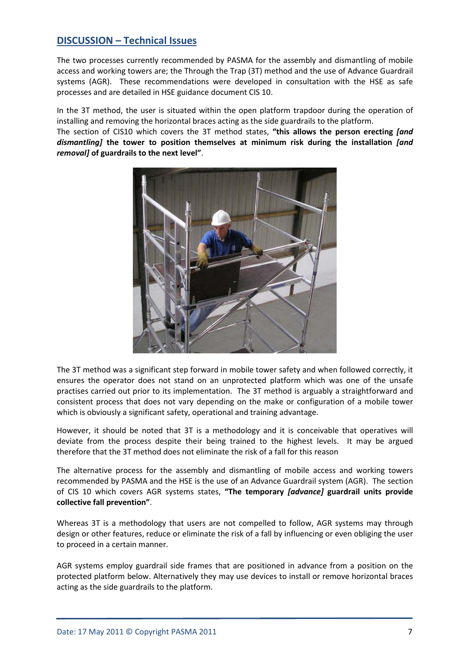# **DISCUSSION – Technical Issues**

The two processes currently recommended by PASMA for the assembly and dismantling of mobile access and working towers are; the Through the Trap (3T) method and the use of Advance Guardrail systems (AGR). These recommendations were developed in consultation with the HSE as safe processes and are detailed in HSE guidance document CIS 10.

In the 3T method, the user is situated within the open platform trapdoor during the operation of installing and removing the horizontal braces acting as the side guardrails to the platform. The section of CIS10 which covers the 3T method states, **"this allows the person erecting** *[and dismantling]* **the tower to position themselves at minimum risk during the installation** *[and removal]* **of guardrails to the next level"**.



The 3T method was a significant step forward in mobile tower safety and when followed correctly, it ensures the operator does not stand on an unprotected platform which was one of the unsafe practises carried out prior to its implementation. The 3T method is arguably a straightforward and consistent process that does not vary depending on the make or configuration of a mobile tower which is obviously a significant safety, operational and training advantage.

However, it should be noted that 3T is a methodology and it is conceivable that operatives will deviate from the process despite their being trained to the highest levels. It may be argued therefore that the 3T method does not eliminate the risk of a fall for this reason

The alternative process for the assembly and dismantling of mobile access and working towers recommended by PASMA and the HSE is the use of an Advance Guardrail system (AGR). The section of CIS 10 which covers AGR systems states, **"The temporary** *[advance]* **guardrail units provide collective fall prevention"**.

Whereas 3T is a methodology that users are not compelled to follow, AGR systems may through design or other features, reduce or eliminate the risk of a fall by influencing or even obliging the user to proceed in a certain manner.

AGR systems employ guardrail side frames that are positioned in advance from a position on the protected platform below. Alternatively they may use devices to install or remove horizontal braces acting as the side guardrails to the platform.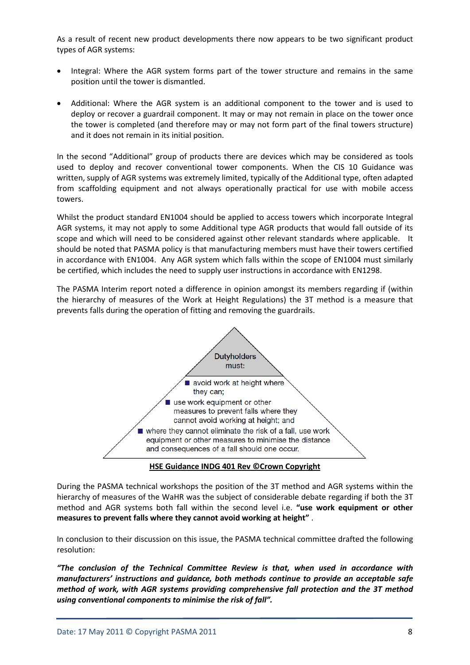As a result of recent new product developments there now appears to be two significant product types of AGR systems:

- Integral: Where the AGR system forms part of the tower structure and remains in the same position until the tower is dismantled.
- Additional: Where the AGR system is an additional component to the tower and is used to deploy or recover a guardrail component. It may or may not remain in place on the tower once the tower is completed (and therefore may or may not form part of the final towers structure) and it does not remain in its initial position.

In the second "Additional" group of products there are devices which may be considered as tools used to deploy and recover conventional tower components. When the CIS 10 Guidance was written, supply of AGR systems was extremely limited, typically of the Additional type, often adapted from scaffolding equipment and not always operationally practical for use with mobile access towers.

Whilst the product standard EN1004 should be applied to access towers which incorporate Integral AGR systems, it may not apply to some Additional type AGR products that would fall outside of its scope and which will need to be considered against other relevant standards where applicable. It should be noted that PASMA policy is that manufacturing members must have their towers certified in accordance with EN1004. Any AGR system which falls within the scope of EN1004 must similarly be certified, which includes the need to supply user instructions in accordance with EN1298.

The PASMA Interim report noted a difference in opinion amongst its members regarding if (within the hierarchy of measures of the Work at Height Regulations) the 3T method is a measure that prevents falls during the operation of fitting and removing the guardrails.



**HSE Guidance INDG 401 Rev ©Crown Copyright**

During the PASMA technical workshops the position of the 3T method and AGR systems within the hierarchy of measures of the WaHR was the subject of considerable debate regarding if both the 3T method and AGR systems both fall within the second level i.e. **"use work equipment or other measures to prevent falls where they cannot avoid working at height"** .

In conclusion to their discussion on this issue, the PASMA technical committee drafted the following resolution:

*"The conclusion of the Technical Committee Review is that, when used in accordance with manufacturers' instructions and guidance, both methods continue to provide an acceptable safe method of work, with AGR systems providing comprehensive fall protection and the 3T method using conventional components to minimise the risk of fall".*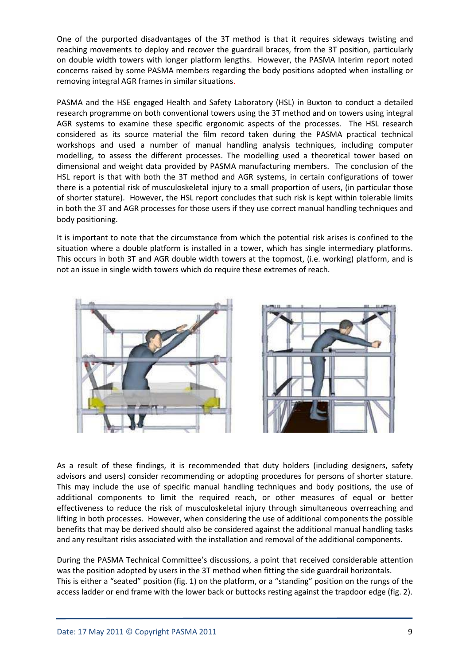One of the purported disadvantages of the 3T method is that it requires sideways twisting and reaching movements to deploy and recover the guardrail braces, from the 3T position, particularly on double width towers with longer platform lengths. However, the PASMA Interim report noted concerns raised by some PASMA members regarding the body positions adopted when installing or removing integral AGR frames in similar situations.

PASMA and the HSE engaged Health and Safety Laboratory (HSL) in Buxton to conduct a detailed research programme on both conventional towers using the 3T method and on towers using integral AGR systems to examine these specific ergonomic aspects of the processes. The HSL research considered as its source material the film record taken during the PASMA practical technical workshops and used a number of manual handling analysis techniques, including computer modelling, to assess the different processes. The modelling used a theoretical tower based on dimensional and weight data provided by PASMA manufacturing members. The conclusion of the HSL report is that with both the 3T method and AGR systems, in certain configurations of tower there is a potential risk of musculoskeletal injury to a small proportion of users, (in particular those of shorter stature). However, the HSL report concludes that such risk is kept within tolerable limits in both the 3T and AGR processes for those users if they use correct manual handling techniques and body positioning.

It is important to note that the circumstance from which the potential risk arises is confined to the situation where a double platform is installed in a tower, which has single intermediary platforms. This occurs in both 3T and AGR double width towers at the topmost, (i.e. working) platform, and is not an issue in single width towers which do require these extremes of reach.



As a result of these findings, it is recommended that duty holders (including designers, safety advisors and users) consider recommending or adopting procedures for persons of shorter stature. This may include the use of specific manual handling techniques and body positions, the use of additional components to limit the required reach, or other measures of equal or better effectiveness to reduce the risk of musculoskeletal injury through simultaneous overreaching and lifting in both processes. However, when considering the use of additional components the possible benefits that may be derived should also be considered against the additional manual handling tasks and any resultant risks associated with the installation and removal of the additional components.

During the PASMA Technical Committee's discussions, a point that received considerable attention was the position adopted by users in the 3T method when fitting the side guardrail horizontals. This is either a "seated" position (fig. 1) on the platform, or a "standing" position on the rungs of the access ladder or end frame with the lower back or buttocks resting against the trapdoor edge (fig. 2).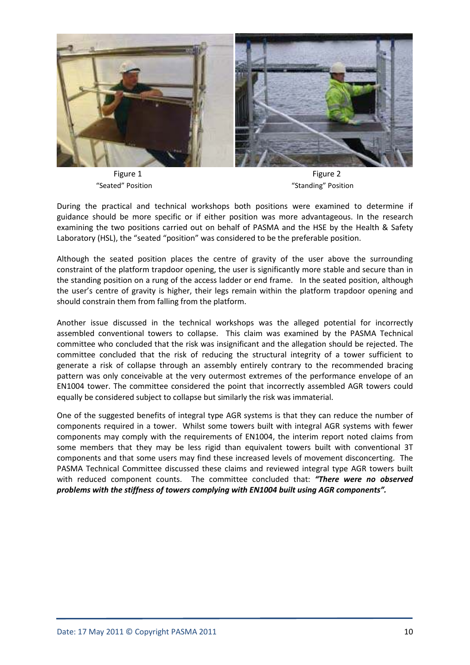

Figure 1 Figure 2

"Seated" Position "Standing" Position

During the practical and technical workshops both positions were examined to determine if guidance should be more specific or if either position was more advantageous. In the research examining the two positions carried out on behalf of PASMA and the HSE by the Health & Safety Laboratory (HSL), the "seated "position" was considered to be the preferable position.

Although the seated position places the centre of gravity of the user above the surrounding constraint of the platform trapdoor opening, the user is significantly more stable and secure than in the standing position on a rung of the access ladder or end frame. In the seated position, although the user's centre of gravity is higher, their legs remain within the platform trapdoor opening and should constrain them from falling from the platform.

Another issue discussed in the technical workshops was the alleged potential for incorrectly assembled conventional towers to collapse. This claim was examined by the PASMA Technical committee who concluded that the risk was insignificant and the allegation should be rejected. The committee concluded that the risk of reducing the structural integrity of a tower sufficient to generate a risk of collapse through an assembly entirely contrary to the recommended bracing pattern was only conceivable at the very outermost extremes of the performance envelope of an EN1004 tower. The committee considered the point that incorrectly assembled AGR towers could equally be considered subject to collapse but similarly the risk was immaterial.

One of the suggested benefits of integral type AGR systems is that they can reduce the number of components required in a tower. Whilst some towers built with integral AGR systems with fewer components may comply with the requirements of EN1004, the interim report noted claims from some members that they may be less rigid than equivalent towers built with conventional 3T components and that some users may find these increased levels of movement disconcerting. The PASMA Technical Committee discussed these claims and reviewed integral type AGR towers built with reduced component counts. The committee concluded that: *"There were no observed problems with the stiffness of towers complying with EN1004 built using AGR components".*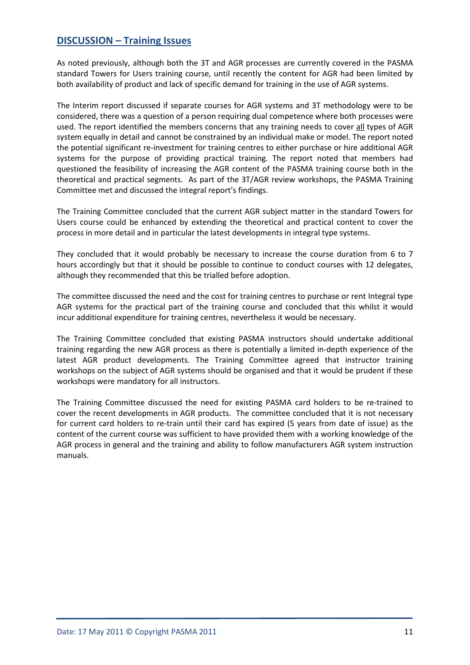# **DISCUSSION – Training Issues**

As noted previously, although both the 3T and AGR processes are currently covered in the PASMA standard Towers for Users training course, until recently the content for AGR had been limited by both availability of product and lack of specific demand for training in the use of AGR systems.

The Interim report discussed if separate courses for AGR systems and 3T methodology were to be considered, there was a question of a person requiring dual competence where both processes were used. The report identified the members concerns that any training needs to cover all types of AGR system equally in detail and cannot be constrained by an individual make or model. The report noted the potential significant re-investment for training centres to either purchase or hire additional AGR systems for the purpose of providing practical training. The report noted that members had questioned the feasibility of increasing the AGR content of the PASMA training course both in the theoretical and practical segments. As part of the 3T/AGR review workshops, the PASMA Training Committee met and discussed the integral report's findings.

The Training Committee concluded that the current AGR subject matter in the standard Towers for Users course could be enhanced by extending the theoretical and practical content to cover the process in more detail and in particular the latest developments in integral type systems.

They concluded that it would probably be necessary to increase the course duration from 6 to 7 hours accordingly but that it should be possible to continue to conduct courses with 12 delegates, although they recommended that this be trialled before adoption.

The committee discussed the need and the cost for training centres to purchase or rent Integral type AGR systems for the practical part of the training course and concluded that this whilst it would incur additional expenditure for training centres, nevertheless it would be necessary.

The Training Committee concluded that existing PASMA instructors should undertake additional training regarding the new AGR process as there is potentially a limited in-depth experience of the latest AGR product developments. The Training Committee agreed that instructor training workshops on the subject of AGR systems should be organised and that it would be prudent if these workshops were mandatory for all instructors.

The Training Committee discussed the need for existing PASMA card holders to be re-trained to cover the recent developments in AGR products. The committee concluded that it is not necessary for current card holders to re-train until their card has expired (5 years from date of issue) as the content of the current course was sufficient to have provided them with a working knowledge of the AGR process in general and the training and ability to follow manufacturers AGR system instruction manuals.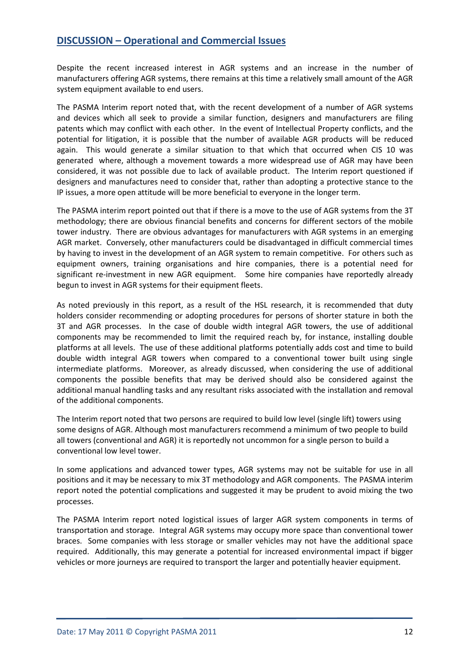# **DISCUSSION – Operational and Commercial Issues**

Despite the recent increased interest in AGR systems and an increase in the number of manufacturers offering AGR systems, there remains at this time a relatively small amount of the AGR system equipment available to end users.

The PASMA Interim report noted that, with the recent development of a number of AGR systems and devices which all seek to provide a similar function, designers and manufacturers are filing patents which may conflict with each other. In the event of Intellectual Property conflicts, and the potential for litigation, it is possible that the number of available AGR products will be reduced again. This would generate a similar situation to that which that occurred when CIS 10 was generated where, although a movement towards a more widespread use of AGR may have been considered, it was not possible due to lack of available product. The Interim report questioned if designers and manufactures need to consider that, rather than adopting a protective stance to the IP issues, a more open attitude will be more beneficial to everyone in the longer term.

The PASMA interim report pointed out that if there is a move to the use of AGR systems from the 3T methodology; there are obvious financial benefits and concerns for different sectors of the mobile tower industry. There are obvious advantages for manufacturers with AGR systems in an emerging AGR market. Conversely, other manufacturers could be disadvantaged in difficult commercial times by having to invest in the development of an AGR system to remain competitive. For others such as equipment owners, training organisations and hire companies, there is a potential need for significant re-investment in new AGR equipment. Some hire companies have reportedly already begun to invest in AGR systems for their equipment fleets.

As noted previously in this report, as a result of the HSL research, it is recommended that duty holders consider recommending or adopting procedures for persons of shorter stature in both the 3T and AGR processes. In the case of double width integral AGR towers, the use of additional components may be recommended to limit the required reach by, for instance, installing double platforms at all levels. The use of these additional platforms potentially adds cost and time to build double width integral AGR towers when compared to a conventional tower built using single intermediate platforms. Moreover, as already discussed, when considering the use of additional components the possible benefits that may be derived should also be considered against the additional manual handling tasks and any resultant risks associated with the installation and removal of the additional components.

The Interim report noted that two persons are required to build low level (single lift) towers using some designs of AGR. Although most manufacturers recommend a minimum of two people to build all towers (conventional and AGR) it is reportedly not uncommon for a single person to build a conventional low level tower.

In some applications and advanced tower types, AGR systems may not be suitable for use in all positions and it may be necessary to mix 3T methodology and AGR components. The PASMA interim report noted the potential complications and suggested it may be prudent to avoid mixing the two processes.

The PASMA Interim report noted logistical issues of larger AGR system components in terms of transportation and storage. Integral AGR systems may occupy more space than conventional tower braces. Some companies with less storage or smaller vehicles may not have the additional space required. Additionally, this may generate a potential for increased environmental impact if bigger vehicles or more journeys are required to transport the larger and potentially heavier equipment.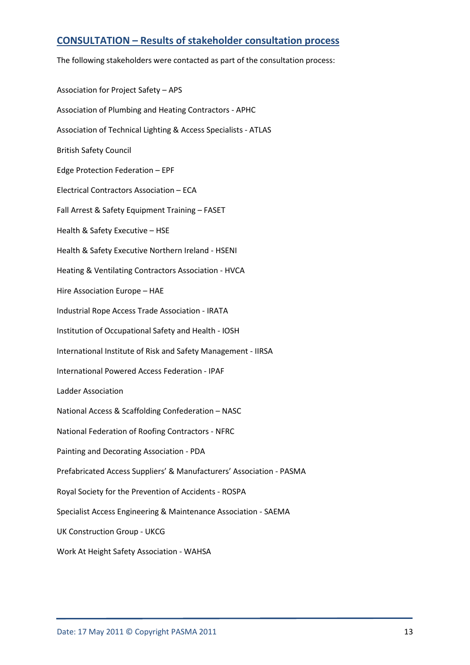# **CONSULTATION – Results of stakeholder consultation process**

The following stakeholders were contacted as part of the consultation process:

Association for Project Safety – APS Association of Plumbing and Heating Contractors - APHC Association of Technical Lighting & Access Specialists - ATLAS British Safety Council Edge Protection Federation – EPF Electrical Contractors Association – ECA Fall Arrest & Safety Equipment Training – FASET Health & Safety Executive – HSE Health & Safety Executive Northern Ireland - HSENI Heating & Ventilating Contractors Association - HVCA Hire Association Europe – HAE Industrial Rope Access Trade Association - IRATA Institution of Occupational Safety and Health - IOSH International Institute of Risk and Safety Management - IIRSA International Powered Access Federation - IPAF Ladder Association National Access & Scaffolding Confederation – NASC National Federation of Roofing Contractors - NFRC Painting and Decorating Association - PDA Prefabricated Access Suppliers' & Manufacturers' Association - PASMA Royal Society for the Prevention of Accidents - ROSPA Specialist Access Engineering & Maintenance Association - SAEMA UK Construction Group - UKCG Work At Height Safety Association - WAHSA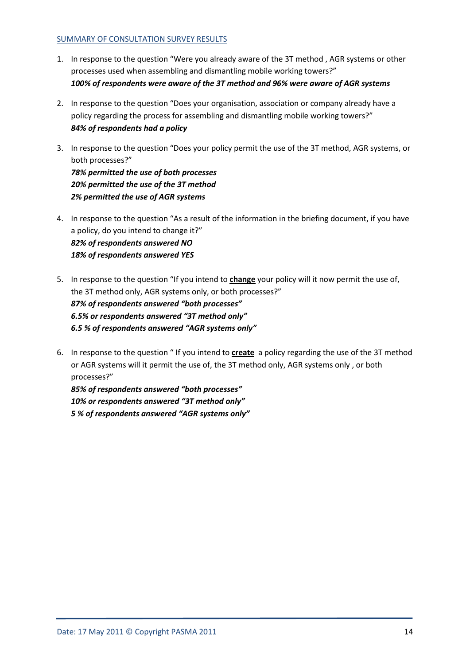### SUMMARY OF CONSULTATION SURVEY RESULTS

- 1. In response to the question "Were you already aware of the 3T method , AGR systems or other processes used when assembling and dismantling mobile working towers?" *100% of respondents were aware of the 3T method and 96% were aware of AGR systems*
- 2. In response to the question "Does your organisation, association or company already have a policy regarding the process for assembling and dismantling mobile working towers?" *84% of respondents had a policy*
- 3. In response to the question "Does your policy permit the use of the 3T method, AGR systems, or both processes?" *78% permitted the use of both processes 20% permitted the use of the 3T method*

*2% permitted the use of AGR systems*

- 4. In response to the question "As a result of the information in the briefing document, if you have a policy, do you intend to change it?" *82% of respondents answered NO 18% of respondents answered YES*
- 5. In response to the question "If you intend to **change** your policy will it now permit the use of, the 3T method only, AGR systems only, or both processes?" *87% of respondents answered "both processes" 6.5% or respondents answered "3T method only" 6.5 % of respondents answered "AGR systems only"*
- 6. In response to the question " If you intend to **create** a policy regarding the use of the 3T method or AGR systems will it permit the use of, the 3T method only, AGR systems only , or both processes?"

*85% of respondents answered "both processes" 10% or respondents answered "3T method only" 5 % of respondents answered "AGR systems only"*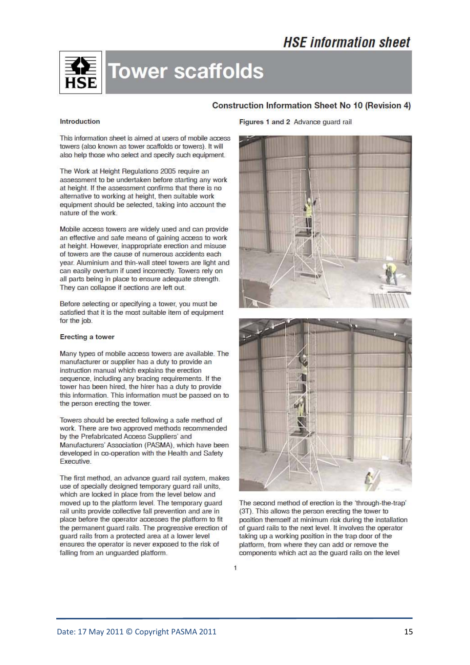# **HSE** information sheet



# **Tower scaffolds**

## **Construction Information Sheet No 10 (Revision 4)**

#### Introduction

This information sheet is aimed at users of mobile access towers (also known as tower scaffolds or towers). It will also help those who select and specify such equipment.

The Work at Height Regulations 2005 require an assessment to be undertaken before starting any work at height. If the assessment confirms that there is no alternative to working at height, then suitable work equipment should be selected, taking into account the nature of the work.

Mobile access towers are widely used and can provide an effective and safe means of gaining access to work at height. However, inappropriate erection and misuse of towers are the cause of numerous accidents each year. Aluminium and thin-wall steel towers are light and can easily overturn if used incorrectly. Towers rely on all parts being in place to ensure adequate strength. They can collapse if sections are left out.

Before selecting or specifying a tower, you must be satisfied that it is the most suitable item of equipment for the job.

#### **Erecting a tower**

Many types of mobile access towers are available. The manufacturer or supplier has a duty to provide an instruction manual which explains the erection sequence, including any bracing requirements. If the tower has been hired, the hirer has a duty to provide this information. This information must be passed on to the person erecting the tower.

Towers should be erected following a safe method of work. There are two approved methods recommended by the Prefabricated Access Suppliers' and Manufacturers' Association (PASMA), which have been developed in co-operation with the Health and Safety Executive.

The first method, an advance guard rail system, makes use of specially designed temporary guard rail units, which are locked in place from the level below and moved up to the platform level. The temporary guard rail units provide collective fall prevention and are in place before the operator accesses the platform to fit the permanent quard rails. The progressive erection of quard rails from a protected area at a lower level ensures the operator is never exposed to the risk of falling from an unquarded platform.

#### Figures 1 and 2 Advance quard rail





The second method of erection is the 'through-the-trap' (3T). This allows the person erecting the tower to position themself at minimum risk during the installation of quard rails to the next level. It involves the operator taking up a working position in the trap door of the platform, from where they can add or remove the components which act as the quard rails on the level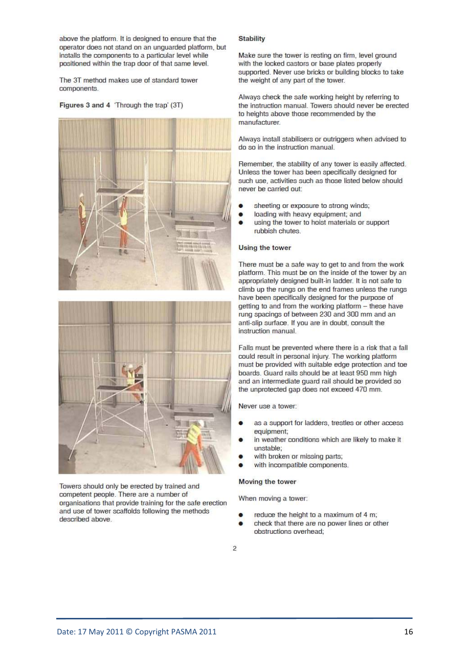above the platform. It is designed to ensure that the operator does not stand on an unquarded platform, but installs the components to a particular level while positioned within the trap door of that same level.

The 3T method makes use of standard tower components.

#### Figures 3 and 4 'Through the trap' (3T)





Towers should only be erected by trained and competent people. There are a number of organisations that provide training for the safe erection and use of tower scaffolds following the methods described above.

#### **Stability**

Make sure the tower is resting on firm, level ground with the locked castors or base plates properly supported. Never use bricks or building blocks to take the weight of any part of the tower.

Always check the safe working height by referring to the instruction manual. Towers should never be erected to heights above those recommended by the manufacturer

Always install stabilisers or outriggers when advised to do so in the instruction manual.

Remember, the stability of any tower is easily affected. Unless the tower has been specifically designed for such use, activities such as those listed below should never be carried out:

- sheeting or exposure to strong winds;
- loading with heavy equipment; and
- using the tower to hoist materials or support rubbish chutes

#### Using the tower

There must be a safe way to get to and from the work platform. This must be on the inside of the tower by an appropriately designed built-in ladder. It is not safe to climb up the rungs on the end frames unless the rungs have been specifically designed for the purpose of getting to and from the working platform - these have rung spacings of between 230 and 300 mm and an anti-slip surface. If you are in doubt, consult the instruction manual.

Falls must be prevented where there is a risk that a fall could result in personal injury. The working platform must be provided with suitable edge protection and toe boards. Guard rails should be at least 950 mm high and an intermediate guard rail should be provided so the unprotected gap does not exceed 470 mm.

Never use a tower:

- as a support for ladders, trestles or other access equipment;
- in weather conditions which are likely to make it unstable:
- with broken or missing parts;
- with incompatible components.

#### Moving the tower

When moving a tower:

- reduce the height to a maximum of 4 m;
- check that there are no power lines or other obstructions overhead;